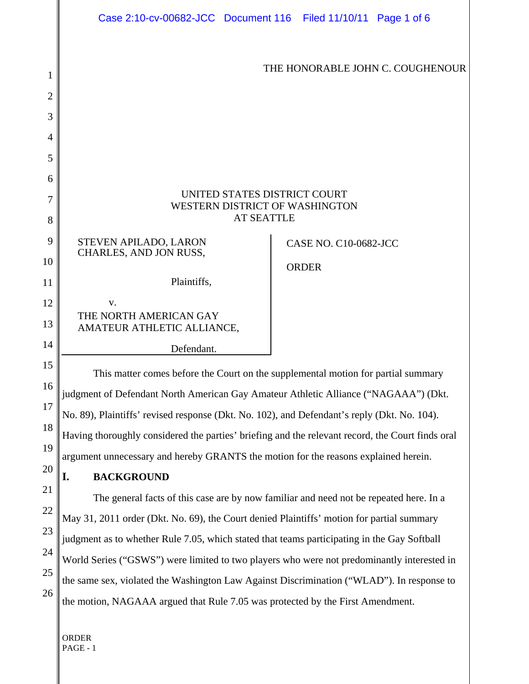|          | Case 2:10-cv-00682-JCC Document 116 Filed 11/10/11 Page 1 of 6                                                                                                                                                                                                                                                                                                                                                                                                                                                                                                                                                                                                                                                                                                                                                                                                                       |  |                              |  |
|----------|--------------------------------------------------------------------------------------------------------------------------------------------------------------------------------------------------------------------------------------------------------------------------------------------------------------------------------------------------------------------------------------------------------------------------------------------------------------------------------------------------------------------------------------------------------------------------------------------------------------------------------------------------------------------------------------------------------------------------------------------------------------------------------------------------------------------------------------------------------------------------------------|--|------------------------------|--|
| 1        | THE HONORABLE JOHN C. COUGHENOUR                                                                                                                                                                                                                                                                                                                                                                                                                                                                                                                                                                                                                                                                                                                                                                                                                                                     |  |                              |  |
| 2        |                                                                                                                                                                                                                                                                                                                                                                                                                                                                                                                                                                                                                                                                                                                                                                                                                                                                                      |  |                              |  |
| 3<br>4   |                                                                                                                                                                                                                                                                                                                                                                                                                                                                                                                                                                                                                                                                                                                                                                                                                                                                                      |  |                              |  |
| 5        |                                                                                                                                                                                                                                                                                                                                                                                                                                                                                                                                                                                                                                                                                                                                                                                                                                                                                      |  |                              |  |
| 6        |                                                                                                                                                                                                                                                                                                                                                                                                                                                                                                                                                                                                                                                                                                                                                                                                                                                                                      |  |                              |  |
| 7        | UNITED STATES DISTRICT COURT<br>WESTERN DISTRICT OF WASHINGTON                                                                                                                                                                                                                                                                                                                                                                                                                                                                                                                                                                                                                                                                                                                                                                                                                       |  |                              |  |
| 8        | <b>AT SEATTLE</b>                                                                                                                                                                                                                                                                                                                                                                                                                                                                                                                                                                                                                                                                                                                                                                                                                                                                    |  |                              |  |
| 9        | STEVEN APILADO, LARON<br>CHARLES, AND JON RUSS,                                                                                                                                                                                                                                                                                                                                                                                                                                                                                                                                                                                                                                                                                                                                                                                                                                      |  | <b>CASE NO. C10-0682-JCC</b> |  |
| 10       |                                                                                                                                                                                                                                                                                                                                                                                                                                                                                                                                                                                                                                                                                                                                                                                                                                                                                      |  | <b>ORDER</b>                 |  |
| 11       | Plaintiffs,                                                                                                                                                                                                                                                                                                                                                                                                                                                                                                                                                                                                                                                                                                                                                                                                                                                                          |  |                              |  |
| 12<br>13 | V.<br>THE NORTH AMERICAN GAY<br>AMATEUR ATHLETIC ALLIANCE,                                                                                                                                                                                                                                                                                                                                                                                                                                                                                                                                                                                                                                                                                                                                                                                                                           |  |                              |  |
| 14       | Defendant.                                                                                                                                                                                                                                                                                                                                                                                                                                                                                                                                                                                                                                                                                                                                                                                                                                                                           |  |                              |  |
| 15       | This matter comes before the Court on the supplemental motion for partial summary                                                                                                                                                                                                                                                                                                                                                                                                                                                                                                                                                                                                                                                                                                                                                                                                    |  |                              |  |
| 16       | judgment of Defendant North American Gay Amateur Athletic Alliance ("NAGAAA") (Dkt.                                                                                                                                                                                                                                                                                                                                                                                                                                                                                                                                                                                                                                                                                                                                                                                                  |  |                              |  |
| 17<br>18 | No. 89), Plaintiffs' revised response (Dkt. No. 102), and Defendant's reply (Dkt. No. 104).<br>Having thoroughly considered the parties' briefing and the relevant record, the Court finds oral<br>argument unnecessary and hereby GRANTS the motion for the reasons explained herein.<br>I.<br><b>BACKGROUND</b><br>The general facts of this case are by now familiar and need not be repeated here. In a<br>May 31, 2011 order (Dkt. No. 69), the Court denied Plaintiffs' motion for partial summary<br>judgment as to whether Rule 7.05, which stated that teams participating in the Gay Softball<br>World Series ("GSWS") were limited to two players who were not predominantly interested in<br>the same sex, violated the Washington Law Against Discrimination ("WLAD"). In response to<br>the motion, NAGAAA argued that Rule 7.05 was protected by the First Amendment. |  |                              |  |
| 19       |                                                                                                                                                                                                                                                                                                                                                                                                                                                                                                                                                                                                                                                                                                                                                                                                                                                                                      |  |                              |  |
| 20       |                                                                                                                                                                                                                                                                                                                                                                                                                                                                                                                                                                                                                                                                                                                                                                                                                                                                                      |  |                              |  |
| 21       |                                                                                                                                                                                                                                                                                                                                                                                                                                                                                                                                                                                                                                                                                                                                                                                                                                                                                      |  |                              |  |
| 22       |                                                                                                                                                                                                                                                                                                                                                                                                                                                                                                                                                                                                                                                                                                                                                                                                                                                                                      |  |                              |  |
| 23       |                                                                                                                                                                                                                                                                                                                                                                                                                                                                                                                                                                                                                                                                                                                                                                                                                                                                                      |  |                              |  |
| 24       |                                                                                                                                                                                                                                                                                                                                                                                                                                                                                                                                                                                                                                                                                                                                                                                                                                                                                      |  |                              |  |
| 25       |                                                                                                                                                                                                                                                                                                                                                                                                                                                                                                                                                                                                                                                                                                                                                                                                                                                                                      |  |                              |  |
| 26       |                                                                                                                                                                                                                                                                                                                                                                                                                                                                                                                                                                                                                                                                                                                                                                                                                                                                                      |  |                              |  |
|          |                                                                                                                                                                                                                                                                                                                                                                                                                                                                                                                                                                                                                                                                                                                                                                                                                                                                                      |  |                              |  |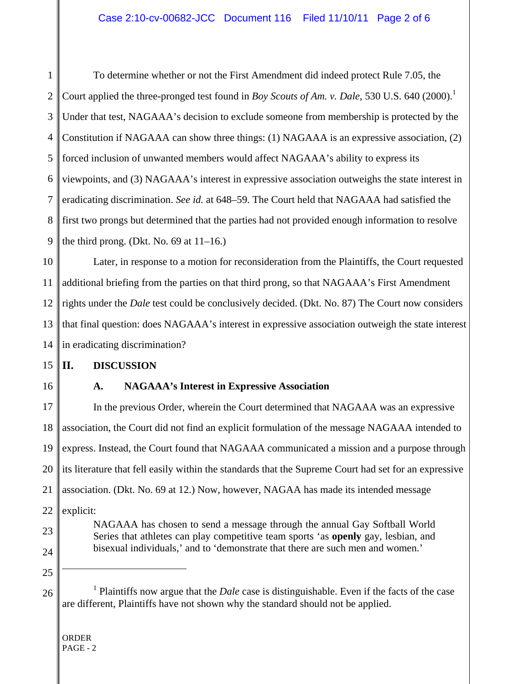1 2 3 4 5 6 7 8 9 To determine whether or not the First Amendment did indeed protect Rule 7.05, the Court applied the three-pronged test found in *Boy Scouts of Am. v. Dale*, 530 U.S. 640 (2000).<sup>1</sup> Under that test, NAGAAA's decision to exclude someone from membership is protected by the Constitution if NAGAAA can show three things: (1) NAGAAA is an expressive association, (2) forced inclusion of unwanted members would affect NAGAAA's ability to express its viewpoints, and (3) NAGAAA's interest in expressive association outweighs the state interest in eradicating discrimination. *See id.* at 648–59. The Court held that NAGAAA had satisfied the first two prongs but determined that the parties had not provided enough information to resolve the third prong. (Dkt. No. 69 at  $11-16$ .)

10 11 12 13 14 Later, in response to a motion for reconsideration from the Plaintiffs, the Court requested additional briefing from the parties on that third prong, so that NAGAAA's First Amendment rights under the *Dale* test could be conclusively decided. (Dkt. No. 87) The Court now considers that final question: does NAGAAA's interest in expressive association outweigh the state interest in eradicating discrimination?

### 15 **II. DISCUSSION**

16

# **A. NAGAAA's Interest in Expressive Association**

17 18 19 20 21 22 23 In the previous Order, wherein the Court determined that NAGAAA was an expressive association, the Court did not find an explicit formulation of the message NAGAAA intended to express. Instead, the Court found that NAGAAA communicated a mission and a purpose through its literature that fell easily within the standards that the Supreme Court had set for an expressive association. (Dkt. No. 69 at 12.) Now, however, NAGAA has made its intended message explicit: NAGAAA has chosen to send a message through the annual Gay Softball World Series that athletes can play competitive team sports 'as **openly** gay, lesbian, and

- 24
- 25

 $\overline{a}$ 

26

bisexual individuals,' and to 'demonstrate that there are such men and women.'

<sup>&</sup>lt;sup>1</sup> Plaintiffs now argue that the *Dale* case is distinguishable. Even if the facts of the case are different, Plaintiffs have not shown why the standard should not be applied.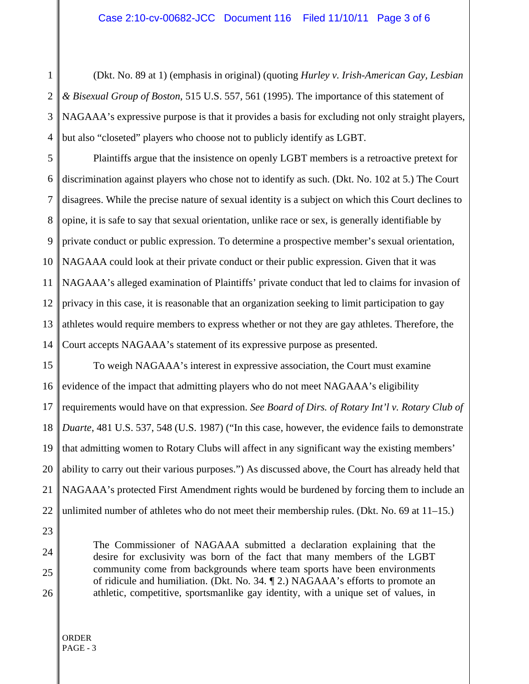1 2 3 4 (Dkt. No. 89 at 1) (emphasis in original) (quoting *Hurley v. Irish-American Gay, Lesbian & Bisexual Group of Boston*, 515 U.S. 557, 561 (1995). The importance of this statement of NAGAAA's expressive purpose is that it provides a basis for excluding not only straight players, but also "closeted" players who choose not to publicly identify as LGBT.

5 6 7 8 9 10 11 12 13 14 Plaintiffs argue that the insistence on openly LGBT members is a retroactive pretext for discrimination against players who chose not to identify as such. (Dkt. No. 102 at 5.) The Court disagrees. While the precise nature of sexual identity is a subject on which this Court declines to opine, it is safe to say that sexual orientation, unlike race or sex, is generally identifiable by private conduct or public expression. To determine a prospective member's sexual orientation, NAGAAA could look at their private conduct or their public expression. Given that it was NAGAAA's alleged examination of Plaintiffs' private conduct that led to claims for invasion of privacy in this case, it is reasonable that an organization seeking to limit participation to gay athletes would require members to express whether or not they are gay athletes. Therefore, the Court accepts NAGAAA's statement of its expressive purpose as presented.

15 16 17 18 19 20 21 22 To weigh NAGAAA's interest in expressive association, the Court must examine evidence of the impact that admitting players who do not meet NAGAAA's eligibility requirements would have on that expression. *See Board of Dirs. of Rotary Int'l v. Rotary Club of Duarte*, 481 U.S. 537, 548 (U.S. 1987) ("In this case, however, the evidence fails to demonstrate that admitting women to Rotary Clubs will affect in any significant way the existing members' ability to carry out their various purposes.") As discussed above, the Court has already held that NAGAAA's protected First Amendment rights would be burdened by forcing them to include an unlimited number of athletes who do not meet their membership rules. (Dkt. No. 69 at 11–15.)

> The Commissioner of NAGAAA submitted a declaration explaining that the desire for exclusivity was born of the fact that many members of the LGBT community come from backgrounds where team sports have been environments of ridicule and humiliation. (Dkt. No. 34. ¶ 2.) NAGAAA's efforts to promote an athletic, competitive, sportsmanlike gay identity, with a unique set of values, in

ORDER PAGE - 3

23

24

25

26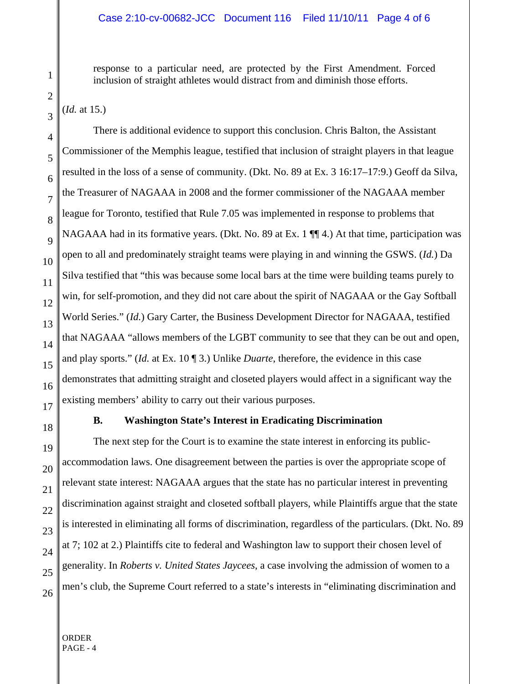response to a particular need, are protected by the First Amendment. Forced inclusion of straight athletes would distract from and diminish those efforts.

(*Id.* at 15.)

There is additional evidence to support this conclusion. Chris Balton, the Assistant Commissioner of the Memphis league, testified that inclusion of straight players in that league resulted in the loss of a sense of community. (Dkt. No. 89 at Ex. 3 16:17–17:9.) Geoff da Silva, the Treasurer of NAGAAA in 2008 and the former commissioner of the NAGAAA member league for Toronto, testified that Rule 7.05 was implemented in response to problems that NAGAAA had in its formative years. (Dkt. No. 89 at Ex. 1  $\P$  $\uparrow$  4.) At that time, participation was open to all and predominately straight teams were playing in and winning the GSWS. (*Id.*) Da Silva testified that "this was because some local bars at the time were building teams purely to win, for self-promotion, and they did not care about the spirit of NAGAAA or the Gay Softball World Series." (*Id.*) Gary Carter, the Business Development Director for NAGAAA, testified that NAGAAA "allows members of the LGBT community to see that they can be out and open, and play sports." (*Id.* at Ex. 10 ¶ 3.) Unlike *Duarte*, therefore, the evidence in this case demonstrates that admitting straight and closeted players would affect in a significant way the existing members' ability to carry out their various purposes.

## **B. Washington State's Interest in Eradicating Discrimination**

The next step for the Court is to examine the state interest in enforcing its publicaccommodation laws. One disagreement between the parties is over the appropriate scope of relevant state interest: NAGAAA argues that the state has no particular interest in preventing discrimination against straight and closeted softball players, while Plaintiffs argue that the state is interested in eliminating all forms of discrimination, regardless of the particulars. (Dkt. No. 89 at 7; 102 at 2.) Plaintiffs cite to federal and Washington law to support their chosen level of generality. In *Roberts v. United States Jaycees*, a case involving the admission of women to a men's club, the Supreme Court referred to a state's interests in "eliminating discrimination and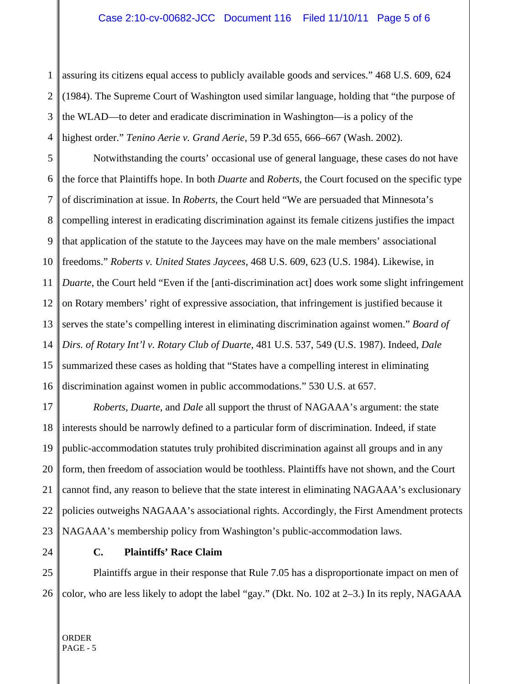1 2 3 4 assuring its citizens equal access to publicly available goods and services." 468 U.S. 609, 624 (1984). The Supreme Court of Washington used similar language, holding that "the purpose of the WLAD—to deter and eradicate discrimination in Washington—is a policy of the highest order." *Tenino Aerie v. Grand Aerie*, 59 P.3d 655, 666–667 (Wash. 2002).

5 6 7 8 9 10 11 12 13 14 15 16 Notwithstanding the courts' occasional use of general language, these cases do not have the force that Plaintiffs hope. In both *Duarte* and *Roberts*, the Court focused on the specific type of discrimination at issue. In *Roberts*, the Court held "We are persuaded that Minnesota's compelling interest in eradicating discrimination against its female citizens justifies the impact that application of the statute to the Jaycees may have on the male members' associational freedoms." *Roberts v. United States Jaycees*, 468 U.S. 609, 623 (U.S. 1984). Likewise, in *Duarte*, the Court held "Even if the [anti-discrimination act] does work some slight infringement on Rotary members' right of expressive association, that infringement is justified because it serves the state's compelling interest in eliminating discrimination against women." *Board of Dirs. of Rotary Int'l v. Rotary Club of Duarte*, 481 U.S. 537, 549 (U.S. 1987). Indeed, *Dale* summarized these cases as holding that "States have a compelling interest in eliminating discrimination against women in public accommodations." 530 U.S. at 657.

17 18 19 20 21 22 23 *Roberts*, *Duarte*, and *Dale* all support the thrust of NAGAAA's argument: the state interests should be narrowly defined to a particular form of discrimination. Indeed, if state public-accommodation statutes truly prohibited discrimination against all groups and in any form, then freedom of association would be toothless. Plaintiffs have not shown, and the Court cannot find, any reason to believe that the state interest in eliminating NAGAAA's exclusionary policies outweighs NAGAAA's associational rights. Accordingly, the First Amendment protects NAGAAA's membership policy from Washington's public-accommodation laws.

24

## **C. Plaintiffs' Race Claim**

25 26 Plaintiffs argue in their response that Rule 7.05 has a disproportionate impact on men of color, who are less likely to adopt the label "gay." (Dkt. No. 102 at 2–3.) In its reply, NAGAAA